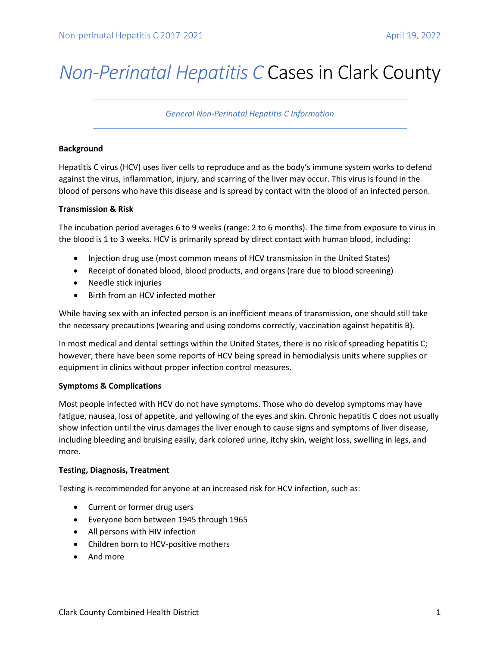# *Non-Perinatal Hepatitis C* Cases in Clark County

*General Non-Perinatal Hepatitis C Information*

### **Background**

Hepatitis C virus (HCV) uses liver cells to reproduce and as the body's immune system works to defend against the virus, inflammation, injury, and scarring of the liver may occur. This virus is found in the blood of persons who have this disease and is spread by contact with the blood of an infected person.

### **Transmission & Risk**

The incubation period averages 6 to 9 weeks (range: 2 to 6 months). The time from exposure to virus in the blood is 1 to 3 weeks. HCV is primarily spread by direct contact with human blood, including:

- Injection drug use (most common means of HCV transmission in the United States)
- Receipt of donated blood, blood products, and organs (rare due to blood screening)
- Needle stick injuries
- Birth from an HCV infected mother

While having sex with an infected person is an inefficient means of transmission, one should still take the necessary precautions (wearing and using condoms correctly, vaccination against hepatitis B).

In most medical and dental settings within the United States, there is no risk of spreading hepatitis C; however, there have been some reports of HCV being spread in hemodialysis units where supplies or equipment in clinics without proper infection control measures.

# **Symptoms & Complications**

Most people infected with HCV do not have symptoms. Those who do develop symptoms may have fatigue, nausea, loss of appetite, and yellowing of the eyes and skin. Chronic hepatitis C does not usually show infection until the virus damages the liver enough to cause signs and symptoms of liver disease, including bleeding and bruising easily, dark colored urine, itchy skin, weight loss, swelling in legs, and more.

# **Testing, Diagnosis, Treatment**

Testing is recommended for anyone at an increased risk for HCV infection, such as:

- Current or former drug users
- Everyone born between 1945 through 1965
- All persons with HIV infection
- Children born to HCV-positive mothers
- And more